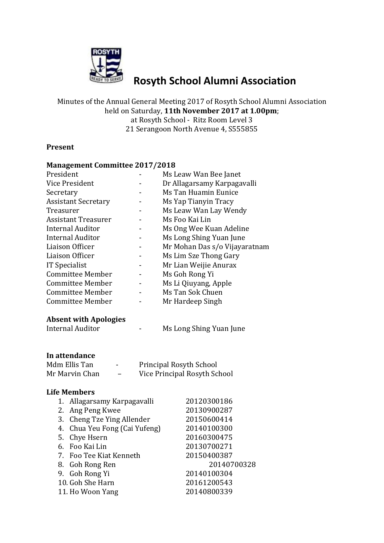

# **Rosyth School Alumni Association**

Minutes of the Annual General Meeting 2017 of Rosyth School Alumni Association held on Saturday, **11th November 2017 at 1.00pm**; at Rosyth School - Ritz Room Level 3 21 Serangoon North Avenue 4, S555855

#### **Present**

#### **Management Committee 2017/2018**

| President                  | Ms Leaw Wan Bee Janet         |
|----------------------------|-------------------------------|
| Vice President             | Dr Allagarsamy Karpagavalli   |
| Secretary                  | Ms Tan Huamin Eunice          |
| <b>Assistant Secretary</b> | Ms Yap Tianyin Tracy          |
| Treasurer                  | Ms Leaw Wan Lay Wendy         |
| <b>Assistant Treasurer</b> | Ms Foo Kai Lin                |
| <b>Internal Auditor</b>    | Ms Ong Wee Kuan Adeline       |
| <b>Internal Auditor</b>    | Ms Long Shing Yuan June       |
| Liaison Officer            | Mr Mohan Das s/o Vijayaratnam |
| Liaison Officer            | Ms Lim Sze Thong Gary         |
| <b>IT Specialist</b>       | Mr Lian Weijie Anurax         |
| Committee Member           | Ms Goh Rong Yi                |
| Committee Member           | Ms Li Qiuyang, Apple          |
| <b>Committee Member</b>    | Ms Tan Sok Chuen              |
| Committee Member           | Mr Hardeep Singh              |
|                            |                               |

#### **Absent with Apologies**

Internal Auditor **- Ms Long Shing Yuan June** 

#### **In attendance**

| Mdm Ellis Tan  | $\blacksquare$ | <b>Principal Rosyth School</b> |
|----------------|----------------|--------------------------------|
| Mr Marvin Chan |                | Vice Principal Rosyth School   |

## **Life Members**

| 1. Allagarsamy Karpagavalli   | 20120300186 |
|-------------------------------|-------------|
| 2. Ang Peng Kwee              | 20130900287 |
| 3. Cheng Tze Ying Allender    | 20150600414 |
| 4. Chua Yeu Fong (Cai Yufeng) | 20140100300 |
| 5. Chye Hsern                 | 20160300475 |
| 6. Foo Kai Lin                | 20130700271 |
| 7. Foo Tee Kiat Kenneth       | 20150400387 |
| 8. Goh Rong Ren               | 20140700328 |
| 9. Goh Rong Yi                | 20140100304 |
| 10. Goh She Harn              | 20161200543 |
| 11. Ho Woon Yang              | 20140800339 |
|                               |             |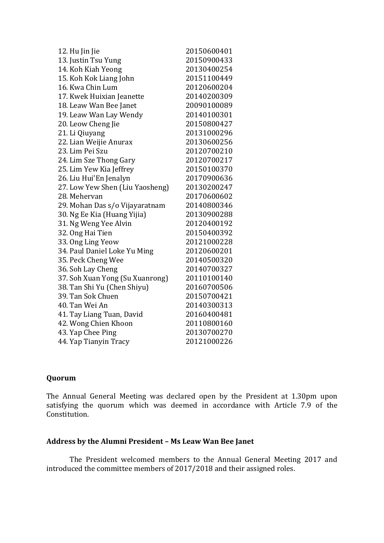| 20150600401 |
|-------------|
| 20150900433 |
| 20130400254 |
| 20151100449 |
| 20120600204 |
| 20140200309 |
| 20090100089 |
| 20140100301 |
| 20150800427 |
| 20131000296 |
| 20130600256 |
| 20120700210 |
| 20120700217 |
| 20150100370 |
| 20170900636 |
| 20130200247 |
| 20170600602 |
| 20140800346 |
| 20130900288 |
| 20120400192 |
| 20150400392 |
| 20121000228 |
| 20120600201 |
| 20140500320 |
| 20140700327 |
| 20110100140 |
| 20160700506 |
| 20150700421 |
| 20140300313 |
| 20160400481 |
| 20110800160 |
| 20130700270 |
| 20121000226 |
|             |

## **Quorum**

The Annual General Meeting was declared open by the President at 1.30pm upon satisfying the quorum which was deemed in accordance with Article 7.9 of the Constitution.

### **Address by the Alumni President – Ms Leaw Wan Bee Janet**

The President welcomed members to the Annual General Meeting 2017 and introduced the committee members of 2017/2018 and their assigned roles.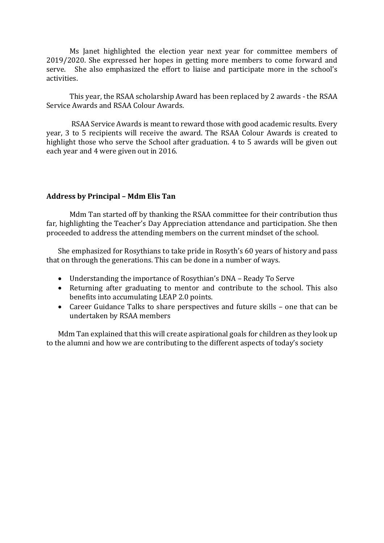Ms Janet highlighted the election year next year for committee members of 2019/2020. She expressed her hopes in getting more members to come forward and serve. She also emphasized the effort to liaise and participate more in the school's activities.

This year, the RSAA scholarship Award has been replaced by 2 awards - the RSAA Service Awards and RSAA Colour Awards.

RSAA Service Awards is meant to reward those with good academic results. Every year, 3 to 5 recipients will receive the award. The RSAA Colour Awards is created to highlight those who serve the School after graduation. 4 to 5 awards will be given out each year and 4 were given out in 2016.

### **Address by Principal – Mdm Elis Tan**

Mdm Tan started off by thanking the RSAA committee for their contribution thus far, highlighting the Teacher's Day Appreciation attendance and participation. She then proceeded to address the attending members on the current mindset of the school.

She emphasized for Rosythians to take pride in Rosyth's 60 years of history and pass that on through the generations. This can be done in a number of ways.

- Understanding the importance of Rosythian's DNA Ready To Serve
- Returning after graduating to mentor and contribute to the school. This also benefits into accumulating LEAP 2.0 points.
- Career Guidance Talks to share perspectives and future skills one that can be undertaken by RSAA members

Mdm Tan explained that this will create aspirational goals for children as they look up to the alumni and how we are contributing to the different aspects of today's society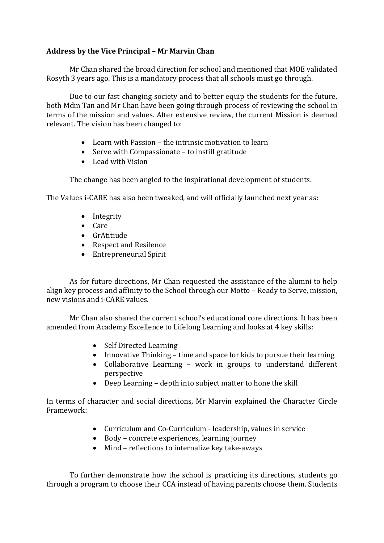# **Address by the Vice Principal – Mr Marvin Chan**

Mr Chan shared the broad direction for school and mentioned that MOE validated Rosyth 3 years ago. This is a mandatory process that all schools must go through.

Due to our fast changing society and to better equip the students for the future, both Mdm Tan and Mr Chan have been going through process of reviewing the school in terms of the mission and values. After extensive review, the current Mission is deemed relevant. The vision has been changed to:

- Learn with Passion the intrinsic motivation to learn
- Serve with Compassionate to instill gratitude
- Lead with Vision

The change has been angled to the inspirational development of students.

The Values i-CARE has also been tweaked, and will officially launched next year as:

- Integrity
- Care
- GrAtitiude
- Respect and Resilence
- Entrepreneurial Spirit

As for future directions, Mr Chan requested the assistance of the alumni to help align key process and affinity to the School through our Motto – Ready to Serve, mission, new visions and i-CARE values.

Mr Chan also shared the current school's educational core directions. It has been amended from Academy Excellence to Lifelong Learning and looks at 4 key skills:

- Self Directed Learning
- Innovative Thinking time and space for kids to pursue their learning
- Collaborative Learning work in groups to understand different perspective
- Deep Learning depth into subject matter to hone the skill

In terms of character and social directions, Mr Marvin explained the Character Circle Framework:

- Curriculum and Co-Curriculum leadership, values in service
- Body concrete experiences, learning journey
- Mind reflections to internalize key take-aways

To further demonstrate how the school is practicing its directions, students go through a program to choose their CCA instead of having parents choose them. Students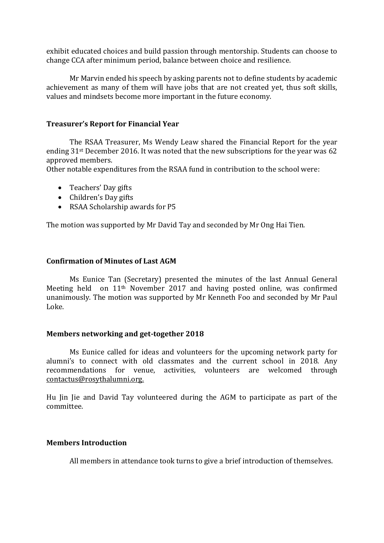exhibit educated choices and build passion through mentorship. Students can choose to change CCA after minimum period, balance between choice and resilience.

Mr Marvin ended his speech by asking parents not to define students by academic achievement as many of them will have jobs that are not created yet, thus soft skills, values and mindsets become more important in the future economy.

## **Treasurer's Report for Financial Year**

The RSAA Treasurer, Ms Wendy Leaw shared the Financial Report for the year ending 31st December 2016. It was noted that the new subscriptions for the year was 62 approved members.

Other notable expenditures from the RSAA fund in contribution to the school were:

- Teachers' Day gifts
- Children's Day gifts
- RSAA Scholarship awards for P5

The motion was supported by Mr David Tay and seconded by Mr Ong Hai Tien.

## **Confirmation of Minutes of Last AGM**

Ms Eunice Tan (Secretary) presented the minutes of the last Annual General Meeting held on 11th November 2017 and having posted online, was confirmed unanimously. The motion was supported by Mr Kenneth Foo and seconded by Mr Paul Loke.

#### **Members networking and get-together 2018**

Ms Eunice called for ideas and volunteers for the upcoming network party for alumni's to connect with old classmates and the current school in 2018. Any recommendations for venue, activities, volunteers are welcomed through [contactus@rosythalumni.org.](mailto:contactus@rosythalumni.org)

Hu Jin Jie and David Tay volunteered during the AGM to participate as part of the committee.

#### **Members Introduction**

All members in attendance took turns to give a brief introduction of themselves.